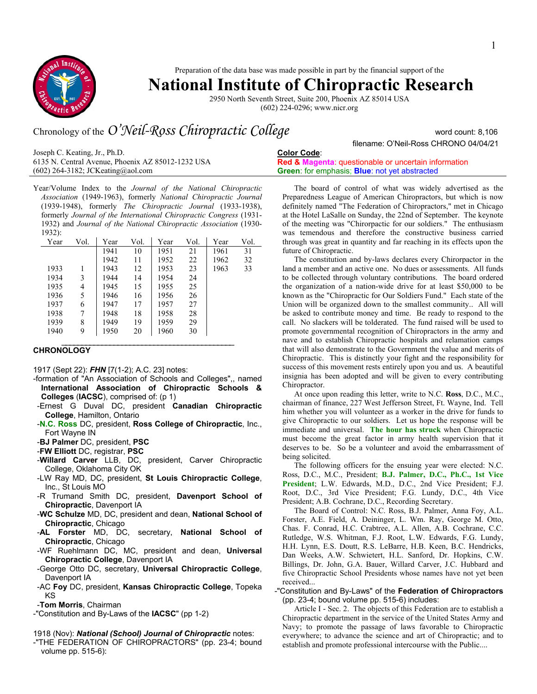

Preparation of the data base was made possible in part by the financial support of the

# **National Institute of Chiropractic Research**

2950 North Seventh Street, Suite 200, Phoenix AZ 85014 USA (602) 224-0296; www.nicr.org

# Chronology of the *O'Neil-Ross Chiropractic College* word count: 8,106

Joseph C. Keating, Jr., Ph.D. 6135 N. Central Avenue, Phoenix AZ 85012-1232 USA (602) 264-3182; JCKeating@aol.com

Year/Volume Index to the *Journal of the National Chiropractic Association* (1949-1963), formerly *National Chiropractic Journal* (1939-1948), formerly *The Chiropractic Journal* (1933-1938), formerly *Journal of the International Chiropractic Congress* (1931- 1932) and *Journal of the National Chiropractic Association* (1930- 1932):

| Year | Vol. | Year | Vol. | Year | Vol. | Year | Vol. |
|------|------|------|------|------|------|------|------|
|      |      | 1941 | 10   | 1951 | 21   | 1961 | 31   |
|      |      | 1942 | 11   | 1952 | 22   | 1962 | 32   |
| 1933 |      | 1943 | 12   | 1953 | 23   | 1963 | 33   |
| 1934 | 3    | 1944 | 14   | 1954 | 24   |      |      |
| 1935 | 4    | 1945 | 15   | 1955 | 25   |      |      |
| 1936 | 5    | 1946 | 16   | 1956 | 26   |      |      |
| 1937 | 6    | 1947 | 17   | 1957 | 27   |      |      |
| 1938 | 7    | 1948 | 18   | 1958 | 28   |      |      |
| 1939 | 8    | 1949 | 19   | 1959 | 29   |      |      |
| 1940 | 9    | 1950 | 20   | 1960 | 30   |      |      |
|      |      |      |      |      |      |      |      |

## **CHRONOLOGY**

1917 (Sept 22): *FHN* [7(1-2); A.C. 23] notes:

- -formation of "An Association of Schools and Colleges",, named **International Association of Chiropractic Schools & Colleges** (**IACSC**), comprised of: (p 1)
- -Ernest G Duval DC, president **Canadian Chiropractic College**, Hamilton, Ontario
- -**N.C. Ross** DC, president, **Ross College of Chiropractic**, Inc., Fort Wayne IN

-**BJ Palmer** DC, president, **PSC**

-**FW Elliott** DC, registrar, **PSC**

- -**Willard Carver** LLB, DC, president, Carver Chiropractic College, Oklahoma City OK
- -LW Ray MD, DC, president, **St Louis Chiropractic College**, Inc., St Louis MO
- -R Trumand Smith DC, president, **Davenport School of Chiropractic**, Davenport IA
- -**WC Schulze** MD, DC, president and dean, **National School of Chiropractic**, Chicago
- -**AL Forster** MD, DC, secretary, **National School of Chiropractic**, Chicago
- -WF Ruehlmann DC, MC, president and dean, **Universal Chiropractic College**, Davenport IA
- -George Otto DC, secretary, **Universal Chiropractic College**, Davenport IA
- -AC **Foy** DC, president, **Kansas Chiropractic College**, Topeka KS
- -**Tom Morris**, Chairman
- -"Constitution and By-Laws of the **IACSC**" (pp 1-2)

#### 1918 (Nov): *National (School) Journal of Chiropractic* notes:

-"THE FEDERATION OF CHIROPRACTORS" (pp. 23-4; bound volume pp. 515-6):

# **Color Code**:

**Red & Magenta**: questionable or uncertain information **Green**: for emphasis; **Blue**: not yet abstracted

The board of control of what was widely advertised as the Preparedness League of American Chiropractors, but which is now definitely named "The Federation of Chiropractors," met in Chicago at the Hotel LaSalle on Sunday, the 22nd of September. The keynote of the meeting was "Chirorpactic for our soldiers." The enthusiasm was temendous and therefore the constructive business carried through was great in quantity and far reaching in its effects upon the future of Chiropractic.

filename: O'Neil-Ross CHRONO 04/04/21

The constitution and by-laws declares every Chirorpactor in the land a member and an active one. No dues or assessments. All funds to be collected through voluntary contributions. The board ordered the organization of a nation-wide drive for at least \$50,000 to be known as the "Chiropractic for Our Soldiers Fund." Each state of the Union will be organized down to the smallest community.. All will be asked to contribute money and time. Be ready to respond to the call. No slackers will be tolderated. The fund raised will be used to promote governmental recognition of Chiropractors in the army and nave and to establish Chiropractic hospitals and relamation camps that will also demonstrate to the Government the value and merits of Chiropractic. This is distinctly your fight and the responsibility for success of this movement rests entirely upon you and us. A beautiful insignia has been adopted and will be given to every contributing Chiropractor.

At once upon reading this letter, write to N.C. **Ross**, D.C., M.C., chairman of finance, 227 West Jefferson Street, Ft. Wayne, Ind. Tell him whether you will volunteer as a worker in the drive for funds to give Chiropractic to our soldiers. Let us hope the response will be immediate and universal. **The hour has struck** when Chiropractic must become the great factor in army health supervision that it deserves to be. So be a volunteer and avoid the embarrassment of being solicited.

The following officers for the ensuing year were elected: N.C. Ross, D.C., M.C., President; **B.J. Palmer, D.C., Ph.C., 1st Vice President**; L.W. Edwards, M.D., D.C., 2nd Vice President; F.J. Root, D.C., 3rd Vice President; F.G. Lundy, D.C., 4th Vice President; A.B. Cochrane, D.C., Recording Secretary.

The Board of Control: N.C. Ross, B.J. Palmer, Anna Foy, A.L. Forster, A.E. Field, A. Deininger, L. Wm. Ray, George M. Otto, Chas. F. Conrad, H.C. Crabtree, A.L. Allen, A.B. Cochrane, C.C. Rutledge, W.S. Whitman, F.J. Root, L.W. Edwards, F.G. Lundy, H.H. Lynn, E.S. Doutt, R.S. LeBarre, H.B. Keen, B.C. Hendricks, Dan Weeks, A.W. Schwietert, H.L. Sanford, Dr. Hopkins, C.W. Billings, Dr. John, G.A. Bauer, Willard Carver, J.C. Hubbard and five Chiropractic School Presidents whose names have not yet been received...

-"Constitution and By-Laws" of the **Federation of Chiropractors** (pp. 23-4; bound volume pp. 515-6) includes:

Article I - Sec. 2. The objects of this Federation are to establish a Chiropractic department in the service of the United States Army and Navy; to promote the passage of laws favorable to Chiropractic everywhere; to advance the science and art of Chiropractic; and to establish and promote professional intercourse with the Public....

1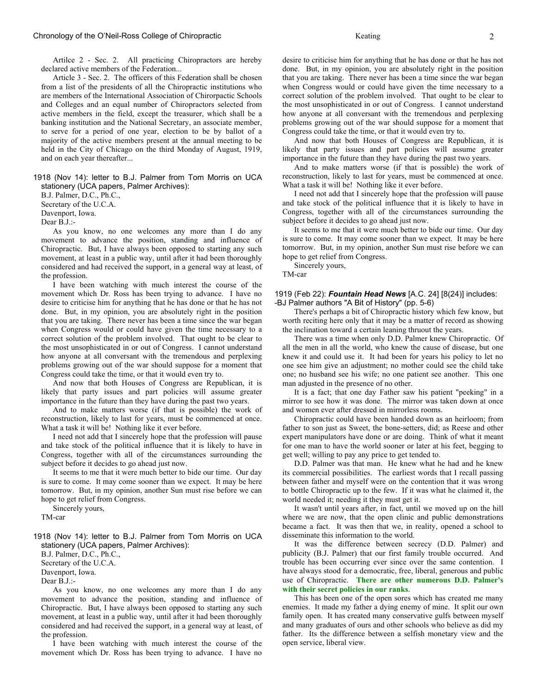Artilce 2 - Sec. 2. All practicing Chiropractors are hereby declared active members of the Federation...

 Article 3 - Sec. 2. The officers of this Federation shall be chosen from a list of the presidents of all the Chiropractic institutions who are members of the International Association of Chirorpactic Schools and Colleges and an equal number of Chiropractors selected from active members in the field, except the treasurer, which shall be a banking institution and the National Secretary, an associate member, to serve for a period of one year, election to be by ballot of a majority of the active members present at the annual meeting to be held in the City of Chicago on the third Monday of August, 1919, and on each year thereafter...

1918 (Nov 14): letter to B.J. Palmer from Tom Morris on UCA stationery (UCA papers, Palmer Archives):

B.J. Palmer, D.C., Ph.C.,

Secretary of the U.C.A.

Davenport, Iowa. Dear B.J.:-

 As you know, no one welcomes any more than I do any movement to advance the position, standing and influence of Chiropractic. But, I have always been opposed to starting any such movement, at least in a public way, until after it had been thoroughly considered and had received the support, in a general way at least, of the profession.

 I have been watching with much interest the course of the movement which Dr. Ross has been trying to advance. I have no desire to criticise him for anything that he has done or that he has not done. But, in my opinion, you are absolutely right in the position that you are taking. There never has been a time since the war began when Congress would or could have given the time necessary to a correct solution of the problem involved. That ought to be clear to the most unsophisticated in or out of Congress. I cannot understand how anyone at all conversant with the tremendous and perplexing problems growing out of the war should suppose for a moment that Congress could take the time, or that it would even try to.

 And now that both Houses of Congress are Republican, it is likely that party issues and part policies will assume greater importance in the future than they have during the past two years.

 And to make matters worse (if that is possible) the work of reconstruction, likely to last for years, must be commenced at once. What a task it will be! Nothing like it ever before.

 I need not add that I sincerely hope that the profession will pause and take stock of the political influence that it is likely to have in Congress, together with all of the circumstances surrounding the subject before it decides to go ahead just now.

 It seems to me that it were much better to bide our time. Our day is sure to come. It may come sooner than we expect. It may be here tomorrow. But, in my opinion, another Sun must rise before we can hope to get relief from Congress.

 Sincerely yours, TM-car

1918 (Nov 14): letter to B.J. Palmer from Tom Morris on UCA stationery (UCA papers, Palmer Archives):

B.J. Palmer, D.C., Ph.C.,

Secretary of the U.C.A.

Davenport, Iowa.

Dear B.J.:-

 As you know, no one welcomes any more than I do any movement to advance the position, standing and influence of Chiropractic. But, I have always been opposed to starting any such movement, at least in a public way, until after it had been thoroughly considered and had received the support, in a general way at least, of the profession.

 I have been watching with much interest the course of the movement which Dr. Ross has been trying to advance. I have no

desire to criticise him for anything that he has done or that he has not done. But, in my opinion, you are absolutely right in the position that you are taking. There never has been a time since the war began when Congress would or could have given the time necessary to a correct solution of the problem involved. That ought to be clear to the most unsophisticated in or out of Congress. I cannot understand how anyone at all conversant with the tremendous and perplexing problems growing out of the war should suppose for a moment that Congress could take the time, or that it would even try to.

 And now that both Houses of Congress are Republican, it is likely that party issues and part policies will assume greater importance in the future than they have during the past two years.

 And to make matters worse (if that is possible) the work of reconstruction, likely to last for years, must be commenced at once. What a task it will be! Nothing like it ever before.

 I need not add that I sincerely hope that the profession will pause and take stock of the political influence that it is likely to have in Congress, together with all of the circumstances surrounding the subject before it decides to go ahead just now.

 It seems to me that it were much better to bide our time. Our day is sure to come. It may come sooner than we expect. It may be here tomorrow. But, in my opinion, another Sun must rise before we can hope to get relief from Congress.

Sincerely yours,

TM-car

### 1919 (Feb 22): *Fountain Head News* [A.C. 24] [8(24)] includes: -BJ Palmer authors "A Bit of History" (pp. 5-6)

 There's perhaps a bit of Chiropractic history which few know, but worth reciting here only that it may be a matter of record as showing the inclination toward a certain leaning thruout the years.

 There was a time when only D.D. Palmer knew Chiropractic. Of all the men in all the world, who knew the cause of disease, but one knew it and could use it. It had been for years his policy to let no one see him give an adjustment; no mother could see the child take one; no husband see his wife; no one patient see another. This one man adjusted in the presence of no other.

 It is a fact; that one day Father saw his patient "peeking" in a mirror to see how it was done. The mirror was taken down at once and women ever after dressed in mirrorless rooms.

 Chiropractic could have been handed down as an heirloom; from father to son just as Sweet, the bone-setters, did; as Reese and other expert manipulators have done or are doing. Think of what it meant for one man to have the world sooner or later at his feet, begging to get well; willing to pay any price to get tended to.

 D.D. Palmer was that man. He knew what he had and he knew its commercial possibilities. The earliest words that I recall passing between father and myself were on the contention that it was wrong to bottle Chiropractic up to the few. If it was what he claimed it, the world needed it; needing it they must get it.

 It wasn't until years after, in fact, until we moved up on the hill where we are now, that the open clinic and public demonstrations became a fact. It was then that we, in reality, opened a school to disseminate this information to the world.

 It was the difference between secrecy (D.D. Palmer) and publicity (B.J. Palmer) that our first family trouble occurred. And trouble has been occurring ever since over the same contention. I have always stood for a democratic, free, liberal, generous and public use of Chiropractic. **There are other numerous D.D. Palmer's with their secret policies in our ranks**.

 This has been one of the open sores which has created me many enemies. It made my father a dying enemy of mine. It split our own family open. It has created many conservative gulfs between myself and many graduates of ours and other schools who believe as did my father. Its the difference between a selfish monetary view and the open service, liberal view.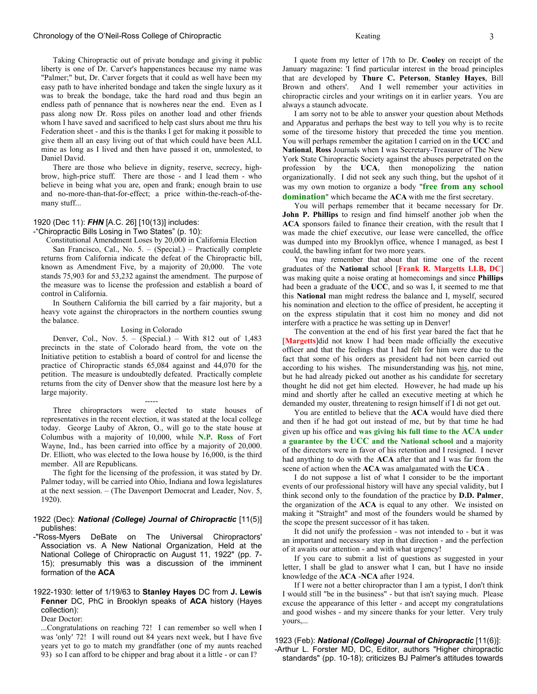#### Chronology of the O'Neil-Ross College of Chiropractic 3 3

 Taking Chiropractic out of private bondage and giving it public liberty is one of Dr. Carver's happenstances because my name was "Palmer;" but, Dr. Carver forgets that it could as well have been my easy path to have inherited bondage and taken the single luxury as it was to break the bondage, take the hard road and thus begin an endless path of pennance that is nowheres near the end. Even as I pass along now Dr. Ross piles on another load and other friends whom I have saved and sacrificed to help cast slurs about me thru his Federation sheet - and this is the thanks I get for making it possible to give them all an easy living out of that which could have been ALL mine as long as I lived and then have passed it on, unmolested, to Daniel David.

 There are those who believe in dignity, reserve, secrecy, highbrow, high-price stuff. There are those - and I lead them - who believe in being what you are, open and frank; enough brain to use and no-more-than-that-for-effect; a price within-the-reach-of-themany stuff...

### 1920 (Dec 11): *FHN* [A.C. 26] [10(13)] includes:

-"Chiropractic Bills Losing in Two States" (p. 10):

Constitutional Amendment Loses by 20,000 in California Election San Francisco, Cal., No. 5. – (Special.) – Practically complete returns from California indicate the defeat of the Chiropractic bill, known as Amendment Five, by a majority of 20,000. The vote stands 75,903 for and 53,232 against the amendment. The purpose of the measure was to license the profession and establish a board of control in California.

 In Southern California the bill carried by a fair majority, but a heavy vote against the chiropractors in the northern counties swung the balance.

#### Losing in Colorado

 Denver, Col., Nov. 5. – (Special.) – With 812 out of 1,483 precincts in the state of Colorado heard from, the vote on the Initiative petition to establish a board of control for and license the practice of Chiropractic stands 65,084 against and 44,070 for the petition. The measure is undoubtedly defeated. Practically complete returns from the city of Denver show that the measure lost here by a large majority.

 Three chiropractors were elected to state houses of representatives in the recent election, it was stated at the local college today. George Lauby of Akron, O., will go to the state house at Columbus with a majority of 10,000, while **N.P. Ross** of Fort Wayne, Ind., has been carried into office by a majority of 20,000. Dr. Elliott, who was elected to the Iowa house by 16,000, is the third member. All are Republicans.

-----

 The fight for the licensing of the profession, it was stated by Dr. Palmer today, will be carried into Ohio, Indiana and Iowa legislatures at the next session. – (The Davenport Democrat and Leader, Nov. 5, 1920).

#### 1922 (Dec): *National (College) Journal of Chiropractic* [11(5)] publishes:

-"Ross-Myers DeBate on The Universal Chiropractors' Association vs. A New National Organization, Held at the National College of Chiropractic on August 11, 1922" (pp. 7- 15); presumably this was a discussion of the imminent formation of the **ACA**

#### 1922-1930: letter of 1/19/63 to **Stanley Hayes** DC from **J. Lewis Fenner** DC, PhC in Brooklyn speaks of **ACA** history (Hayes collection): Dear Doctor:

...Congratulations on reaching 72! I can remember so well when I was 'only' 72! I will round out 84 years next week, but I have five years yet to go to match my grandfather (one of my aunts reached 93) so I can afford to be chipper and brag about it a little - or can I?

 I quote from my letter of 17th to Dr. **Cooley** on receipt of the January magazine: 'I find particular interest in the broad principles that are developed by **Thure C. Peterson**, **Stanley Hayes**, Bill Brown and others'. And I well remember your activities in chiropractic circles and your writings on it in earlier years. You are always a staunch advocate.

 I am sorry not to be able to answer your question about Methods and Apparatus and perhaps the best way to tell you why is to recite some of the tiresome history that preceded the time you mention. You will perhaps remember the agitation I carried on in the **UCC** and **National**, **Ross** Journals when I was Secretary-Treasurer of The New York State Chiropractic Society against the abuses perpetrated on the profession by the **UCA**, then monopolizing the nation organizationally. I did not seek any such thing, but the upshot of it was my own motion to organize a body "**free from any school domination**" which became the **ACA** with me the first secretary.

 You will perhaps remember that it became necessary for Dr. **John P. Phillips** to resign and find himself another job when the **ACA** sponsors failed to finance their creation, with the result that I was made the chief executive, our lease were cancelled, the office was dumped into my Brooklyn office, whence I managed, as best I could, the bawling infant for two more years.

 You may remember that about that time one of the recent graduates of the **National** school [**Frank R. Margetts LLB, DC**] was making quite a noise orating at homecomings and since **Phillips** had been a graduate of the **UCC**, and so was I, it seemed to me that this **National** man might redress the balance and I, myself, secured his nomination and election to the office of president, he accepting it on the express stipulatin that it cost him no money and did not interfere with a practice he was setting up in Denver!

 The convention at the end of his first year bared the fact that he [**Margetts**]did not know I had been made officially the executive officer and that the feelings that I had felt for him were due to the fact that some of his orders as president had not been carried out according to his wishes. The misunderstanding was his, not mine, but he had already picked out another as his candidate for secretary thought he did not get him elected. However, he had made up his mind and shortly after he called an executive meeting at which he demanded my ouster, threatening to resign himself if I di not get out.

 You are entitled to believe that the **ACA** would have died there and then if he had got out instead of me, but by that time he had given up his office and **was giving his full time to the ACA under a guarantee by the UCC and the National school** and a majority of the directors were in favor of his retention and I resigned. I never had anything to do with the **ACA** after that and I was far from the scene of action when the **ACA** was amalgamated with the **UCA** .

 I do not suppose a list of what I consider to be the important events of our professional history will have any special validity, but I think second only to the foundation of the practice by **D.D. Palmer**, the organization of the **ACA** is equal to any other. We insisted on making it "Straight" and most of the founders would be shamed by the scope the present successor of it has taken.

 It did not unify the profession - was not intended to - but it was an important and necessary step in that direction - and the perfection of it awaits our attention - and with what urgency!

 If you care to submit a list of questions as suggested in your letter, I shall be glad to answer what I can, but I have no inside knowledge of the **ACA** -**NCA** after 1924.

 If I were not a better chiropractor than I am a typist, I don't think I would still "be in the business" - but that isn't saying much. Please excuse the appearance of this letter - and accept my congratulations and good wishes - and my sincere thanks for your letter. Very truly yours,...

1923 (Feb): *National (College) Journal of Chiropractic* [11(6)]: -Arthur L. Forster MD, DC, Editor, authors "Higher chiropractic standards" (pp. 10-18); criticizes BJ Palmer's attitudes towards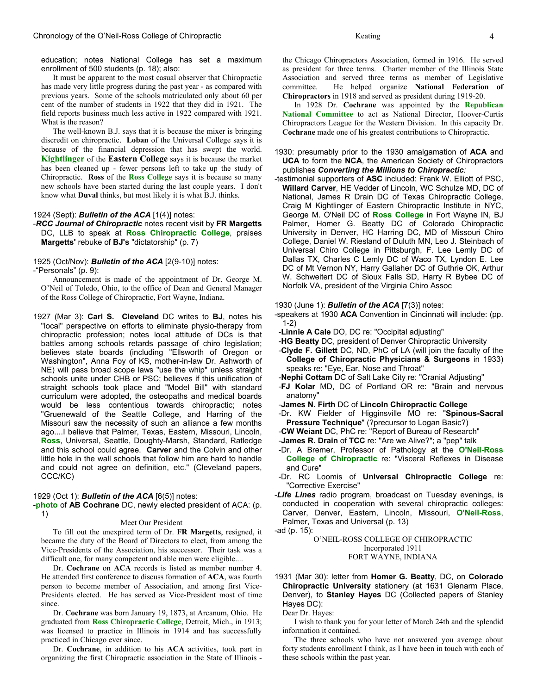education; notes National College has set a maximum enrollment of 500 students (p. 18); also:

 It must be apparent to the most casual observer that Chiropractic has made very little progress during the past year - as compared with previous years. Some of the schools matriculated only about 60 per cent of the number of students in 1922 that they did in 1921. The field reports business much less active in 1922 compared with 1921. What is the reason?

 The well-known B.J. says that it is because the mixer is bringing discredit on chiropractic. **Loban** of the Universal College says it is because of the financial depression that has swept the world. **Kightlinger** of the **Eastern College** says it is because the market has been cleaned up - fewer persons left to take up the study of Chiropractic. **Ross** of the **Ross College** says it is because so many new schools have been started during the last couple years. I don't know what **Duval** thinks, but most likely it is what B.J. thinks.

#### 1924 (Sept): *Bulletin of the ACA* [1(4)] notes:

### -*RCC Journal of Chiropractic* notes recent visit by **FR Margetts** DC, LLB to speak at **Ross Chiropractic College**, praises **Margetts'** rebuke of **BJ's** "dictatorship" (p. 7)

#### 1925 (Oct/Nov): *Bulletin of the ACA* [2(9-10)] notes:

-"Personals" (p. 9):

 Announcement is made of the appointment of Dr. George M. O'Neil of Toledo, Ohio, to the office of Dean and General Manager of the Ross College of Chiropractic, Fort Wayne, Indiana.

1927 (Mar 3): **Carl S. Cleveland** DC writes to **BJ**, notes his "local" perspective on efforts to eliminate physio-therapy from chiropractic profession; notes local attitude of DCs is that battles among schools retards passage of chiro legislation; believes state boards (including "Ellsworth of Oregon or Washington", Anna Foy of KS, mother-in-law Dr. Ashworth of NE) will pass broad scope laws "use the whip" unless straight schools unite under CHB or PSC; believes if this unification of straight schools took place and "Model Bill" with standard curriculum were adopted, the osteopaths and medical boards would be less contentious towards chiropractic; notes "Gruenewald of the Seattle College, and Harring of the Missouri saw the necessity of such an alliance a few months ago....I believe that Palmer, Texas, Eastern, Missouri, Lincoln, **Ross**, Universal, Seattle, Doughty-Marsh, Standard, Ratledge and this school could agree. **Carver** and the Colvin and other little hole in the wall schools that follow him are hard to handle and could not agree on definition, etc." (Cleveland papers, CCC/KC)

#### 1929 (Oct 1): *Bulletin of the ACA* [6(5)] notes:

-**photo** of **AB Cochrane** DC, newly elected president of ACA: (p. 1)

#### Meet Our President

 To fill out the unexpired term of Dr. **FR Margetts**, resigned, it became the duty of the Board of Directors to elect, from among the Vice-Presidents of the Association, his successor. Their task was a difficult one, for many competent and able men were eligible....

 Dr. **Cochrane** on **ACA** records is listed as member number 4. He attended first conference to discuss formation of **ACA**, was fourth person to become member of Association, and among first Vice-Presidents elected. He has served as Vice-President most of time since.

 Dr. **Cochrane** was born January 19, 1873, at Arcanum, Ohio. He graduated from **Ross Chiropractic College**, Detroit, Mich., in 1913; was licensed to practice in Illinois in 1914 and has successfully practiced in Chicago ever since.

 Dr. **Cochrane**, in addition to his **ACA** activities, took part in organizing the first Chiropractic association in the State of Illinois -

 In 1928 Dr. **Cochrane** was appointed by the **Republican National Committee** to act as National Director, Hoover-Curtis Chiropractors League for the Western Division. In this capacity Dr. **Cochrane** made one of his greatest contributions to Chiropractic.

- 1930: presumably prior to the 1930 amalgamation of **ACA** and **UCA** to form the **NCA**, the American Society of Chiropractors publishes *Converting the Millions to Chiropractic:*
- -testimonial supporters of **ASC** included: Frank W. Elliott of PSC, **Willard Carver**, HE Vedder of Lincoln, WC Schulze MD, DC of National, James R Drain DC of Texas Chiropractic College, Craig M Kightlinger of Eastern Chiropractic Institute in NYC, George M. O'Neil DC of **Ross College** in Fort Wayne IN, BJ Palmer, Homer G. Beatty DC of Colorado Chiropractic University in Denver, HC Harring DC, MD of Missouri Chiro College, Daniel W. Riesland of Duluth MN, Leo J. Steinbach of Universal Chiro College in Pittsburgh, F. Lee Lemly DC of Dallas TX, Charles C Lemly DC of Waco TX, Lyndon E. Lee DC of Mt Vernon NY, Harry Gallaher DC of Guthrie OK, Arthur W. Schweitert DC of Sioux Falls SD, Harry R Bybee DC of Norfolk VA, president of the Virginia Chiro Assoc

#### 1930 (June 1): *Bulletin of the ACA* [7(3)] notes:

- -speakers at 1930 **ACA** Convention in Cincinnati will include: (pp. 1-2)
- -**Linnie A Cale** DO, DC re: "Occipital adjusting"
- -**HG Beatty** DC, president of Denver Chiropractic University
- -**Clyde F. Gillett** DC, ND, PhC of LA (will join the faculty of the **College of Chiropractic Physicians & Surgeons** in 1933) speaks re: "Eye, Ear, Nose and Throat"
- -**Nephi Cottam** DC of Salt Lake City re: "Cranial Adjusting"
- -**FJ Kolar** MD, DC of Portland OR re: "Brain and nervous anatomy"
- -**James N. Firth** DC of **Lincoln Chiropractic College**
- -Dr. KW Fielder of Higginsville MO re: "**Spinous-Sacral Pressure Technique**" (?precursor to Logan Basic?)
- -**CW Weiant** DC, PhC re: "Report of Bureau of Research"
- -**James R. Drain** of **TCC** re: "Are we Alive?"; a "pep" talk
- -Dr. A Bremer, Professor of Pathology at the **O'Neil-Ross College of Chiropractic** re: "Visceral Reflexes in Disease and Cure"
- -Dr. RC Loomis of **Universal Chiropractic College** re: "Corrective Exercise"
- -*Life Lines* radio program, broadcast on Tuesday evenings, is conducted in cooperation with several chiropractic colleges: Carver, Denver, Eastern, Lincoln, Missouri, **O'Neil-Ross**, Palmer, Texas and Universal (p. 13)
- -ad (p. 15):

O'NEIL-ROSS COLLEGE OF CHIROPRACTIC Incorporated 1911 FORT WAYNE, INDIANA

1931 (Mar 30): letter from **Homer G. Beatty**, DC, on **Colorado Chiropractic University** stationery (at 1631 Glenarm Place, Denver), to **Stanley Hayes** DC (Collected papers of Stanley Hayes DC):

#### Dear Dr. Hayes:

 I wish to thank you for your letter of March 24th and the splendid information it contained.

 The three schools who have not answered you average about forty students enrollment I think, as I have been in touch with each of these schools within the past year.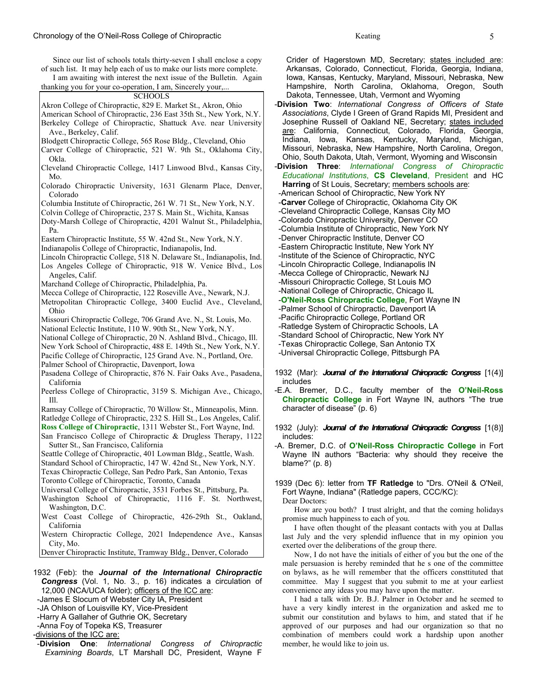Since our list of schools totals thirty-seven I shall enclose a copy of such list. It may help each of us to make our lists more complete.

 I am awaiting with interest the next issue of the Bulletin. Again thanking you for your co-operation, I am, Sincerely your,...

## **SCHOOLS**

Akron College of Chiropractic, 829 E. Market St., Akron, Ohio American School of Chiropractic, 236 East 35th St., New York, N.Y. Berkeley College of Chiropractic, Shattuck Ave. near University Ave., Berkeley, Calif.

- Blodgett Chiropractic College, 565 Rose Bldg., Cleveland, Ohio
- Carver College of Chiropractic, 521 W. 9th St., Oklahoma City, Okla.
- Cleveland Chiropractic College, 1417 Linwood Blvd., Kansas City, Mo.
- Colorado Chiropractic University, 1631 Glenarm Place, Denver, Colorado
- Columbia Institute of Chiropractic, 261 W. 71 St., New York, N.Y.
- Colvin College of Chiropractic, 237 S. Main St., Wichita, Kansas
- Doty-Marsh College of Chiropractic, 4201 Walnut St., Philadelphia, Pa.
- Eastern Chiropractic Institute, 55 W. 42nd St., New York, N.Y.
- Indianapolis College of Chiropractic, Indianapolis, Ind.
- Lincoln Chiropractic College, 518 N. Delaware St., Indianapolis, Ind. Los Angeles College of Chiropractic, 918 W. Venice Blvd., Los Angeles, Calif.
- Marchand College of Chiropractic, Philadelphia, Pa.
- Mecca College of Chiropractic, 122 Roseville Ave., Newark, N.J.
- Metropolitan Chiropractic College, 3400 Euclid Ave., Cleveland, Ohio
- Missouri Chiropractic College, 706 Grand Ave. N., St. Louis, Mo.
- National Eclectic Institute, 110 W. 90th St., New York, N.Y.
- National College of Chiropractic, 20 N. Ashland Blvd., Chicago, Ill.
- New York School of Chiropractic, 488 E. 149th St., New York, N.Y.
- Pacific College of Chiropractic, 125 Grand Ave. N., Portland, Ore.
- Palmer School of Chiropractic, Davenport, Iowa

Pasadena College of Chiropractic, 876 N. Fair Oaks Ave., Pasadena, California

- Peerless College of Chiropractic, 3159 S. Michigan Ave., Chicago, Ill.
- Ramsay College of Chiropractic, 70 Willow St., Minneapolis, Minn. Ratledge College of Chiropractic, 232 S. Hill St., Los Angeles, Calif.
- **Ross College of Chiropractic**, 1311 Webster St., Fort Wayne, Ind.
- San Francisco College of Chiropractic & Drugless Therapy, 1122 Sutter St., San Francisco, California
- Seattle College of Chiropractic, 401 Lowman Bldg., Seattle, Wash.
- Standard School of Chiropractic, 147 W. 42nd St., New York, N.Y.
- Texas Chiropractic College, San Pedro Park, San Antonio, Texas
- Toronto College of Chiropractic, Toronto, Canada
- Universal College of Chiropractic, 3531 Forbes St., Pittsburg, Pa.
- Washington School of Chiropractic, 1116 F. St. Northwest, Washington, D.C.
- West Coast College of Chiropractic, 426-29th St., Oakland, California
- Western Chiropractic College, 2021 Independence Ave., Kansas City, Mo.
- Denver Chiropractic Institute, Tramway Bldg., Denver, Colorado
- 1932 (Feb): the *Journal of the International Chiropractic Congress* (Vol. 1, No. 3., p. 16) indicates a circulation of 12,000 (NCA/UCA folder); officers of the ICC are:
- -James E Slocum of Webster City IA, President
- -JA Ohlson of Louisville KY, Vice-President
- -Harry A Gallaher of Guthrie OK, Secretary
- -Anna Foy of Topeka KS, Treasurer
- -divisions of the ICC are:
- -**Division One**: *International Congress of Chiropractic Examining Boards*, LT Marshall DC, President, Wayne F

Crider of Hagerstown MD, Secretary; states included are: Arkansas, Colorado, Connecticut, Florida, Georgia, Indiana, Iowa, Kansas, Kentucky, Maryland, Missouri, Nebraska, New Hampshire, North Carolina, Oklahoma, Oregon, South Dakota, Tennessee, Utah, Vermont and Wyoming

- -**Division Two**: *International Congress of Officers of State Associations*, Clyde I Green of Grand Rapids MI, President and Josephine Russell of Oakland NE, Secretary; states included are: California, Connecticut, Colorado, Florida, Georgia, Indiana, Iowa, Kansas, Kentucky, Maryland, Michigan, Missouri, Nebraska, New Hampshire, North Carolina, Oregon, Ohio, South Dakota, Utah, Vermont, Wyoming and Wisconsin
- -**Division Three**: *International Congress of Chiropractic Educational Institutions*, **CS Cleveland**, President and HC **Harring** of St Louis, Secretary; members schools are: -American School of Chiropractic, New York NY -**Carver** College of Chiropractic, Oklahoma City OK -Cleveland Chiropractic College, Kansas City MO -Colorado Chiropractic University, Denver CO -Columbia Institute of Chiropractic, New York NY -Denver Chiropractic Institute, Denver CO -Eastern Chiropractic Institute, New York NY -Institute of the Science of Chiropractic, NYC -Lincoln Chiropractic College, Indianapolis IN -Mecca College of Chiropractic, Newark NJ -Missouri Chiropractic College, St Louis MO -National College of Chiropractic, Chicago IL -**O'Neil-Ross Chiropractic College**, Fort Wayne IN -Palmer School of Chiropractic, Davenport IA -Pacific Chiropractic College, Portland OR -Ratledge System of Chiropractic Schools, LA -Standard School of Chiropractic, New York NY -Texas Chiropractic College, San Antonio TX -Universal Chiropractic College, Pittsburgh PA
- 1932 (Mar): *Journal of the International Chiropractic Congress* [1(4)] includes
- -E.A. Bremer, D.C., faculty member of the **O'Neil-Ross Chiropractic College** in Fort Wayne IN, authors "The true character of disease" (p. 6)
- 1932 (July): *Journal of the International Chiropractic Congress* [1(8)] includes:
- -A. Bremer, D.C. of **O'Neil-Ross Chiropractic College** in Fort Wayne IN authors "Bacteria: why should they receive the blame?" (p. 8)

1939 (Dec 6): letter from **TF Ratledge** to "Drs. O'Neil & O'Neil, Fort Wayne, Indiana" (Ratledge papers, CCC/KC): Dear Doctors:

 How are you both? I trust alright, and that the coming holidays promise much happiness to each of you.

 I have often thought of the pleasant contacts with you at Dallas last July and the very splendid influence that in my opinion you exerted over the deliberations of the group there.

 Now, I do not have the initials of either of you but the one of the male persuasion is hereby reminded that he s one of the committee on bylaws, as he will remember that the officers consttituted that committee. May I suggest that you submit to me at your earliest convenience any ideas you may have upon the matter.

 I had a talk with Dr. B.J. Palmer in October and he seemed to have a very kindly interest in the organization and asked me to submit our constitution and bylaws to him, and stated that if he approved of our purposes and had our organization so that no combination of members could work a hardship upon another member, he would like to join us.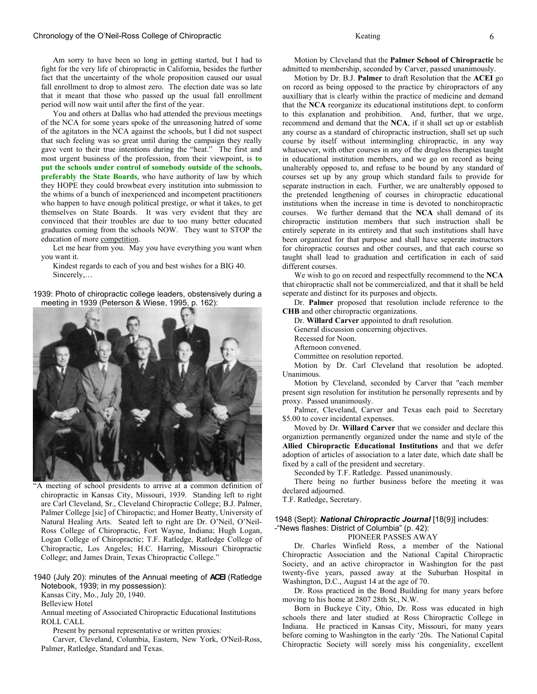#### Chronology of the O'Neil-Ross College of Chiropractic Keating 6

Am sorry to have been so long in getting started, but I had to fight for the very life of chiropractic in California, besides the further fact that the uncertainty of the whole proposition caused our usual fall enrollment to drop to almost zero. The election date was so late that it meant that those who passed up the usual fall enrollment period will now wait until after the first of the year.

You and others at Dallas who had attended the previous meetings of the NCA for some years spoke of the unreasoning hatred of some of the agitators in the NCA against the schools, but I did not suspect that such feeling was so great until during the campaign they really gave vent to their true intentions during the "heat." The first and most urgent business of the profession, from their viewpoint, is **to put the schools under control of somebody outside of the schools, preferably the State Boards**, who have authority of law by which they HOPE they could browbeat every institution into submission to the whims of a bunch of inexperienced and incompetent practitioners who happen to have enough political prestige, or what it takes, to get themselves on State Boards. It was very evident that they are convinced that their troubles are due to too many better educated graduates coming from the schools NOW. They want to STOP the education of more competition.

Let me hear from you. May you have everything you want when you want it.

Kindest regards to each of you and best wishes for a BIG 40. Sincerely,…

1939: Photo of chiropractic college leaders, obstensively during a meeting in 1939 (Peterson & Wiese, 1995, p. 162):



"A meeting of school presidents to arrive at a common definition of chiropractic in Kansas City, Missouri, 1939. Standing left to right are Carl Cleveland, Sr., Cleveland Chiropractic College; B.J. Palmer, Palmer College [sic] of Chiropactic; and Homer Beatty, University of Natural Healing Arts. Seated left to right are Dr. O'Neil, O'Neil-Ross College of Chiropractic, Fort Wayne, Indiana; Hugh Logan, Logan College of Chiropractic; T.F. Ratledge, Ratledge College of Chiropractic, Los Angeles; H.C. Harring, Missouri Chiropractic College; and James Drain, Texas Chiropractic College."

### 1940 (July 20): minutes of the Annual meeting of **ACEI** (Ratledge Notebook, 1939; in my possession):

Kansas City, Mo., July 20, 1940.

Belleview Hotel

Annual meeting of Associated Chiropractic Educational Institutions ROLL CALL

Present by personal representative or written proxies:

Carver, Cleveland, Columbia, Eastern, New York, O'Neil-Ross, Palmer, Ratledge, Standard and Texas.

Motion by Cleveland that the **Palmer School of Chiropractic** be admitted to membership, seconded by Carver, passed unanimously.

Motion by Dr. B.J. **Palmer** to draft Resolution that the **ACEI** go on record as being opposed to the practice by chiropractors of any auxilliary that is clearly within the practice of medicine and demand that the **NCA** reorganize its educational institutions dept. to conform to this explanation and prohibition. And, further, that we urge, recommend and demand that the **NCA**, if it shall set up or establish any course as a standard of chiropractic instruction, shall set up such course by itself without intermingling chiropractic, in any way whatsoever, with other courses in any of the drugless therapies taught in educational institution members, and we go on record as being unalterably opposed to, and refuse to be bound by any standard of courses set up by any group which standard fails to provide for separate instruction in each. Further, we are unalterably opposed to the pretended lengthening of courses in chiropractic educational institutions when the increase in time is devoted to nonchiropractic courses. We further demand that the **NCA** shall demand of its chiropractic institution members that such instruction shall be entirely seperate in its entirety and that such institutions shall have been organized for that purpose and shall have seperate instructors for chiropractic courses and other courses, and that each course so taught shall lead to graduation and certification in each of said different courses.

We wish to go on record and respectfully recommend to the **NCA** that chiropractic shall not be commercialized, and that it shall be held seperate and distinct for its purposes and objects.

 Dr. **Palmer** proposed that resolution include reference to the **CHB** and other chiropractic organizations.

Dr. **Willard Carver** appointed to draft resolution.

General discussion concerning objectives.

Recessed for Noon.

Afternoon convened.

Committee on resolution reported.

Motion by Dr. Carl Cleveland that resolution be adopted. Unanimous.

Motion by Cleveland, seconded by Carver that "each member present sign resolution for institution he personally represents and by proxy. Passed unanimously.

Palmer, Cleveland, Carver and Texas each paid to Secretary \$5.00 to cover incidental expenses.

 Moved by Dr. **Willard Carver** that we consider and declare this organiztion permanently organized under the name and style of the **Allied Chiropractic Educational Institutions** and that we defer adoption of articles of association to a later date, which date shall be fixed by a call of the president and secretary.

Seconded by T.F. Ratledge. Passed unanimously.

There being no further business before the meeting it was declared adjourned.

T.F. Ratledge, Secretary.

#### 1948 (Sept): *National Chiropractic Journal* [18(9)] includes:

-"News flashes: District of Columbia" (p. 42):

PIONEER PASSES AWAY

Dr. Charles Winfield Ross, a member of the National Chiropractic Association and the National Capital Chiropractic Society, and an active chiropractor in Washington for the past twenty-five years, passed away at the Suburban Hospital in Washington, D.C., August 14 at the age of 70.

Dr. Ross practiced in the Bond Building for many years before moving to his home at 2807 28th St., N.W.

Born in Buckeye City, Ohio, Dr. Ross was educated in high schools there and later studied at Ross Chiropractic College in Indiana. He practiced in Kansas City, Missouri, for many years before coming to Washington in the early '20s. The National Capital Chiropractic Society will sorely miss his congeniality, excellent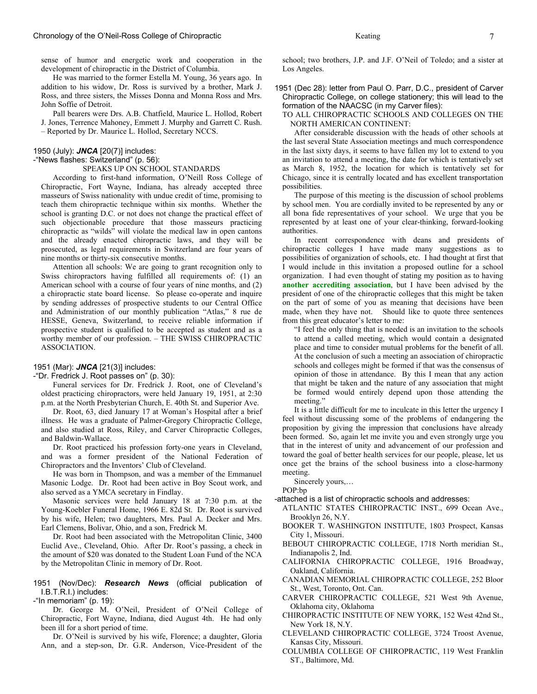sense of humor and energetic work and cooperation in the development of chiropractic in the District of Columbia.

 He was married to the former Estella M. Young, 36 years ago. In addition to his widow, Dr. Ross is survived by a brother, Mark J. Ross, and three sisters, the Misses Donna and Monna Ross and Mrs. John Soffie of Detroit.

 Pall bearers were Drs. A.B. Chatfield, Maurice L. Hollod, Robert J. Jones, Terrence Mahoney, Emmett J. Murphy and Garrett C. Rush. – Reported by Dr. Maurice L. Hollod, Secretary NCCS.

#### 1950 (July): *JNCA* [20(7)] includes:

#### -"News flashes: Switzerland" (p. 56):

SPEAKS UP ON SCHOOL STANDARDS

 According to first-hand information, O'Neill Ross College of Chiropractic, Fort Wayne, Indiana, has already accepted three masseurs of Swiss nationality with undue credit of time, promising to teach them chiropractic technique within six months. Whether the school is granting D.C. or not does not change the practical effect of such objectionable procedure that those masseurs practicing chiropractic as "wilds" will violate the medical law in open cantons and the already enacted chiropractic laws, and they will be prosecuted, as legal requirements in Switzerland are four years of nine months or thirty-six consecutive months.

 Attention all schools: We are going to grant recognition only to Swiss chiropractors having fulfilled all requirements of: (1) an American school with a course of four years of nine months, and (2) a chiropractic state board license. So please co-operate and inquire by sending addresses of prospective students to our Central Office and Administration of our monthly publication "Atlas," 8 rue de HESSE, Geneva, Switzerland, to receive reliable information if prospective student is qualified to be accepted as student and as a worthy member of our profession. – THE SWISS CHIROPRACTIC ASSOCIATION.

#### 1951 (Mar): *JNCA* [21(3)] includes:

-"Dr. Fredrick J. Root passes on" (p. 30):

 Funeral services for Dr. Fredrick J. Root, one of Cleveland's oldest practicing chiropractors, were held January 19, 1951, at 2:30 p.m. at the North Presbyterian Church, E. 40th St. and Superior Ave.

 Dr. Root, 63, died January 17 at Woman's Hospital after a brief illness. He was a graduate of Palmer-Gregory Chiropractic College, and also studied at Ross, Riley, and Carver Chiropractic Colleges, and Baldwin-Wallace.

 Dr. Root practiced his profession forty-one years in Cleveland, and was a former president of the National Federation of Chiropractors and the Inventors' Club of Cleveland.

 He was born in Thompson, and was a member of the Emmanuel Masonic Lodge. Dr. Root had been active in Boy Scout work, and also served as a YMCA secretary in Findlay.

 Masonic services were held January 18 at 7:30 p.m. at the Young-Koebler Funeral Home, 1966 E. 82d St. Dr. Root is survived by his wife, Helen; two daughters, Mrs. Paul A. Decker and Mrs. Earl Clemens, Bolivar, Ohio, and a son, Fredrick M.

 Dr. Root had been associated with the Metropolitan Clinic, 3400 Euclid Ave., Cleveland, Ohio. After Dr. Root's passing, a check in the amount of \$20 was donated to the Student Loan Fund of the NCA by the Metropolitan Clinic in memory of Dr. Root.

1951 (Nov/Dec): *Research News* (official publication of I.B.T.R.I.) includes:

-"In memoriam" (p. 19):

 Dr. George M. O'Neil, President of O'Neil College of Chiropractic, Fort Wayne, Indiana, died August 4th. He had only been ill for a short period of time.

 Dr. O'Neil is survived by his wife, Florence; a daughter, Gloria Ann, and a step-son, Dr. G.R. Anderson, Vice-President of the

school; two brothers, J.P. and J.F. O'Neil of Toledo; and a sister at Los Angeles.

1951 (Dec 28): letter from Paul O. Parr, D.C., president of Carver Chiropractic College, on college stationery; this will lead to the formation of the NAACSC (in my Carver files):

TO ALL CHIROPRACTIC SCHOOLS AND COLLEGES ON THE NORTH AMERICAN CONTINENT:

 After considerable discussion with the heads of other schools at the last several State Association meetings and much correspondence in the last sixty days, it seems to have fallen my lot to extend to you an invitation to attend a meeting, the date for which is tentatively set as March 8, 1952, the location for which is tentatively set for Chicago, since it is centrally located and has excellent transportation possibilities.

 The purpose of this meeting is the discussion of school problems by school men. You are cordially invited to be represented by any or all bona fide representatives of your school. We urge that you be represented by at least one of your clear-thinking, forward-looking authorities.

 In recent correspondence with deans and presidents of chiropractic colleges I have made many suggestions as to possibilities of organization of schools, etc. I had thought at first that I would include in this invitation a proposed outline for a school organization. I had even thought of stating my position as to having **another accrediting association**, but I have been advised by the president of one of the chiropractic colleges that this might be taken on the part of some of you as meaning that decisions have been made, when they have not. Should like to quote three sentences from this great educator's letter to me:

"I feel the only thing that is needed is an invitation to the schools to attend a called meeting, which would contain a designated place and time to consider mutual problems for the benefit of all. At the conclusion of such a meeting an association of chiropractic schools and colleges might be formed if that was the consensus of opinion of those in attendance. By this I mean that any action that might be taken and the nature of any association that might be formed would entirely depend upon those attending the meeting."

 It is a little difficult for me to inculcate in this letter the urgency I feel without discussing some of the problems of endangering the proposition by giving the impression that conclusions have already been formed. So, again let me invite you and even strongly urge you that in the interest of unity and advancement of our profession and toward the goal of better health services for our people, please, let us once get the brains of the school business into a close-harmony meeting.

Sincerely yours,…

- POP:bp
- -attached is a list of chiropractic schools and addresses:
- ATLANTIC STATES CHIROPRACTIC INST., 699 Ocean Ave., Brooklyn 26, N.Y.
- BOOKER T. WASHINGTON INSTITUTE, 1803 Prospect, Kansas City 1, Missouri.
- BEBOUT CHIROPRACTIC COLLEGE, 1718 North meridian St., Indianapolis 2, Ind.
- CALIFORNIA CHIROPRACTIC COLLEGE, 1916 Broadway, Oakland, California.
- CANADIAN MEMORIAL CHIROPRACTIC COLLEGE, 252 Bloor St., West, Toronto, Ont. Can.
- CARVER CHIROPRACTIC COLLEGE, 521 West 9th Avenue, Oklahoma city, Oklahoma
- CHIROPRACTIC INSTITUTE OF NEW YORK, 152 West 42nd St., New York 18, N.Y.
- CLEVELAND CHIROPRACTIC COLLEGE, 3724 Troost Avenue, Kansas City, Missouri.
- COLUMBIA COLLEGE OF CHIROPRACTIC, 119 West Franklin ST., Baltimore, Md.